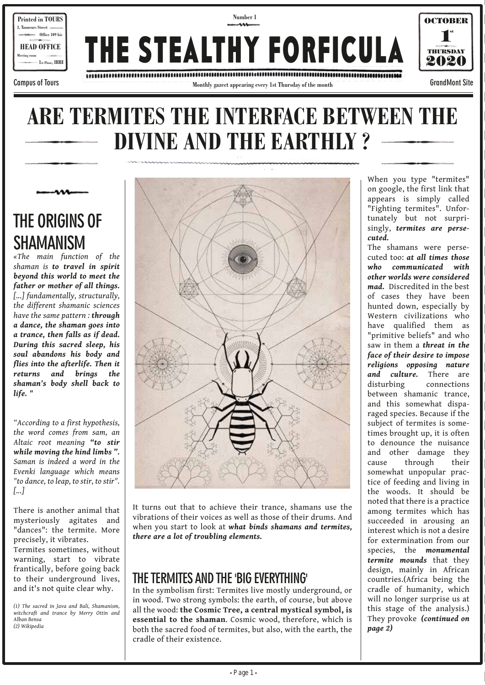

# **ARE TERMITES THE INTERFACE BETWEEN THE DIVINE AND THE EARTHLY ?**

**THE ORIGINS OF SHAMANISM**

*«The main function of the shaman is to travel in spirit beyond this world to meet the father or mother of all things. [...] fundamentally, structurally, the different shamanic sciences have the same pattern : through a dance, the shaman goes into a trance, then falls as if dead. During this sacred sleep, his soul abandons his body and flies into the afterlife. Then it returns and brings the shaman's body shell back to life. "*

*"According to a first hypothesis, the word comes from sam, an Altaic root meaning "to stir while moving the hind limbs ". Saman is indeed a word in the Evenki language which means "to dance, to leap, to stir, to stir". [...]*

There is another animal that mysteriously agitates and "dances": the termite. More precisely, it vibrates. Termites sometimes, without warning, start to vibrate frantically, before going back to their underground lives,

*(1) The sacred in Java and Bali, Shamanism, witchcraft and trance by Merry Ottin and Alban Bensa (2) Wikipedia*

and it's not quite clear why.



It turns out that to achieve their trance, shamans use the vibrations of their voices as well as those of their drums. And when you start to look at *what binds shamans and termites, there are a lot of troubling elements.*

### **THE TERMITES AND THE 'BIG EVERYTHING'**

In the symbolism first: Termites live mostly underground, or in wood. Two strong symbols: the earth, of course, but above all the wood: **the Cosmic Tree, a central mystical symbol, is essential to the shaman**. Cosmic wood, therefore, which is both the sacred food of termites, but also, with the earth, the cradle of their existence.

When you type "termites" on google, the first link that appears is simply called "Fighting termites". Unfortunately but not surprisingly, *termites are persecuted.*

The shamans were persecuted too: *at all times those who communicated with other worlds were considered mad.* Discredited in the best of cases they have been hunted down, especially by Western civilizations who have qualified them as "primitive beliefs" and who saw in them a *threat in the face of their desire to impose religions opposing nature and culture.* There are disturbing connections between shamanic trance, and this somewhat disparaged species. Because if the subject of termites is sometimes brought up, it is often to denounce the nuisance and other damage they cause through their somewhat unpopular practice of feeding and living in the woods. It should be noted that there is a practice among termites which has succeeded in arousing an interest which is not a desire for extermination from our species, the *monumental termite mounds* that they design, mainly in African countries.(Africa being the cradle of humanity, which will no longer surprise us at this stage of the analysis.) They provoke *(continued on page 2)*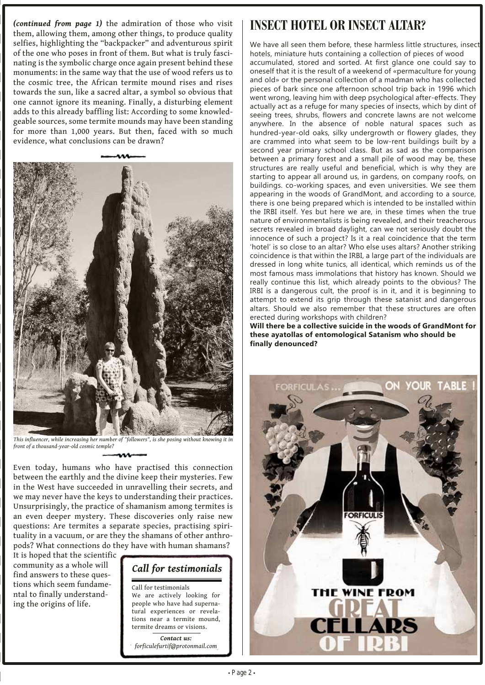*(continued from page 1)* the admiration of those who visit them, allowing them, among other things, to produce quality selfies, highlighting the "backpacker" and adventurous spirit of the one who poses in front of them. But what is truly fascinating is the symbolic charge once again present behind these monuments: in the same way that the use of wood refers us to the cosmic tree, the African termite mound rises and rises towards the sun, like a sacred altar, a symbol so obvious that one cannot ignore its meaning. Finally, a disturbing element adds to this already baffling list: According to some knowledgeable sources, some termite mounds may have been standing for more than 1,000 years. But then, faced with so much evidence, what conclusions can be drawn?



*This influencer, while increasing her number of "followers", is she posing without knowing it in front of a thousand-year-old cosmic temple?*

Even today, humans who have practised this connection between the earthly and the divine keep their mysteries. Few in the West have succeeded in unravelling their secrets, and we may never have the keys to understanding their practices. Unsurprisingly, the practice of shamanism among termites is an even deeper mystery. These discoveries only raise new questions: Are termites a separate species, practising spirituality in a vacuum, or are they the shamans of other anthropods? What connections do they have with human shamans?

It is hoped that the scientific community as a whole will find answers to these questions which seem fundamental to finally understanding the origins of life.

## *Call for testimonials*

Call for testimonials We are actively looking for people who have had supernatural experiences or revelations near a termite mound, termite dreams or visions.

*Contact us: forficulefurtif@protonmail.com*

### **INSECT HOTEL OR INSECT ALTAR?**

We have all seen them before, these harmless little structures, insect hotels, miniature huts containing a collection of pieces of wood accumulated, stored and sorted. At first glance one could say to oneself that it is the result of a weekend of «permaculture for young and old» or the personal collection of a madman who has collected pieces of bark since one afternoon school trip back in 1996 which went wrong, leaving him with deep psychological after-effects. They actually act as a refuge for many species of insects, which by dint of seeing trees, shrubs, flowers and concrete lawns are not welcome anywhere. In the absence of noble natural spaces such as hundred-year-old oaks, silky undergrowth or flowery glades, they are crammed into what seem to be low-rent buildings built by a second year primary school class. But as sad as the comparison between a primary forest and a small pile of wood may be, these structures are really useful and beneficial, which is why they are starting to appear all around us, in gardens, on company roofs, on buildings. co-working spaces, and even universities. We see them appearing in the woods of GrandMont, and according to a source, there is one being prepared which is intended to be installed within the IRBI itself. Yes but here we are, in these times when the true nature of environmentalists is being revealed, and their treacherous secrets revealed in broad daylight, can we not seriously doubt the innocence of such a project? Is it a real coincidence that the term 'hotel' is so close to an altar? Who else uses altars? Another striking coincidence is that within the IRBI, a large part of the individuals are dressed in long white tunics, all identical, which reminds us of the most famous mass immolations that history has known. Should we really continue this list, which already points to the obvious? The IRBI is a dangerous cult, the proof is in it, and it is beginning to attempt to extend its grip through these satanist and dangerous altars. Should we also remember that these structures are often erected during workshops with children?

**Will there be a collective suicide in the woods of GrandMont for these ayatollas of entomological Satanism who should be finally denounced?**

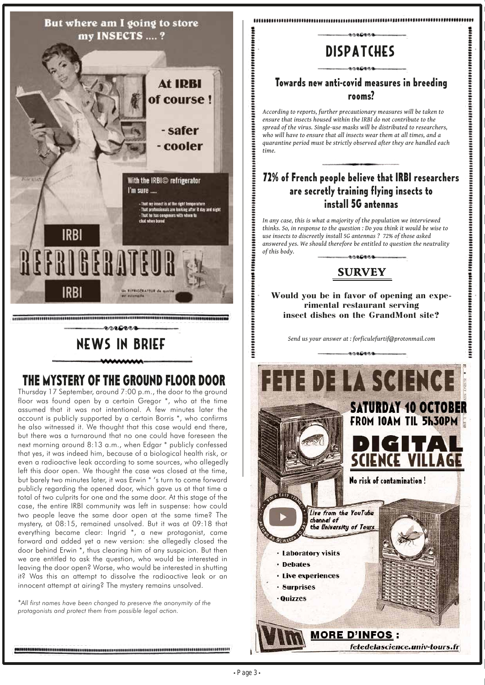

# **THE MYSTERY OF THE GROUND FLOOR DOOR**

Thursday 17 September, around 7:00 p.m., the door to the ground floor was found open by a certain Gregor \*, who at the time assumed that it was not intentional. A few minutes later the account is publicly supported by a certain Borris \*, who confirms he also witnessed it. We thought that this case would end there, but there was a turnaround that no one could have foreseen the next morning around 8:13 a.m., when Edgar \* publicly confessed that yes, it was indeed him, because of a biological health risk, or even a radioactive leak according to some sources, who allegedly left this door open. We thought the case was closed at the time, but barely two minutes later, it was Erwin \* 's turn to come forward publicly regarding the opened door, which gave us at that time a total of two culprits for one and the same door. At this stage of the case, the entire IRBI community was left in suspense: how could two people leave the same door open at the same time? The mystery, at 08:15, remained unsolved. But it was at 09:18 that everything became clear: Ingrid \*, a new protagonist, came forward and added yet a new version: she allegedly closed the door behind Erwin \*, thus clearing him of any suspicion. But then we are entitled to ask the question, who would be interested in leaving the door open? Worse, who would be interested in shutting it? Was this an attempt to dissolve the radioactive leak or an innocent attempt at airing? The mystery remains unsolved.

\**All first names have been changed to preserve the anonymity of the protagonists and protect them from possible legal action.*

# **DISPATCHES**

#### **Towards new anti-covid measures in breeding rooms?**

*According to reports, further precautionary measures will be taken to ensure that insects housed within the IRBI do not contribute to the spread of the virus. Single-use masks will be distributed to researchers, who will have to ensure that all insects wear them at all times, and a quarantine period must be strictly observed after they are handled each time.*

#### **72% of French people believe that IRBI researchers are secretly training flying insects to install 5G antennas**

*In any case, this is what a majority of the population we interviewed thinks. So, in response to the question : Do you think it would be wise to use insects to discreetly install 5G antennas ? 72% of those asked answered yes. We should therefore be entitled to question the neutrality of this body.* معمومومه

### **SURVEY**

**Would you be in favor of opening an experimental restaurant serving insect dishes on the GrandMont site?**